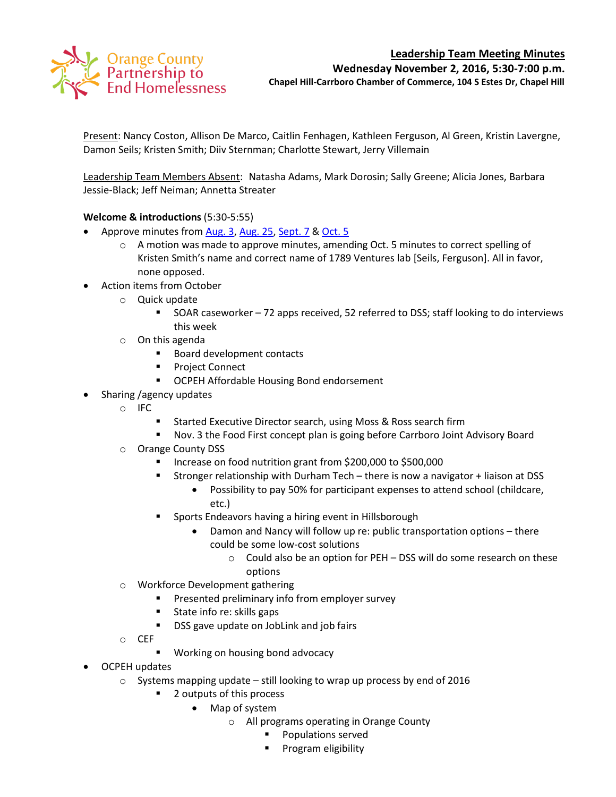# Orange County<br>Partnership to<br>End Homelessness

# **Leadership Team Meeting Minutes**

**Wednesday November 2, 2016, 5:30-7:00 p.m.**

**Chapel Hill-Carrboro Chamber of Commerce, 104 S Estes Dr, Chapel Hill**

Present: Nancy Coston, Allison De Marco, Caitlin Fenhagen, Kathleen Ferguson, Al Green, Kristin Lavergne, Damon Seils; Kristen Smith; Diiv Sternman; Charlotte Stewart, Jerry Villemain

Leadership Team Members Absent: Natasha Adams, Mark Dorosin; Sally Greene; Alicia Jones, Barbara Jessie-Black; Jeff Neiman; Annetta Streater

# **Welcome & introductions** (5:30-5:55)

- Approve minutes from [Aug. 3,](http://www.orangecountync.gov/departments/hhrcd/LT%20Meeting%20Notes%20%20080316.pdf) [Aug. 25,](http://www.orangecountync.gov/departments/hhrcd/LT%20mtg%20notes%20082516.pdf) [Sept. 7](http://www.orangecountync.gov/departments/hhrcd/LT%20Meeting%20Notes%20%20090716.pdf) & [Oct.](http://www.orangecountync.gov/departments/hhrcd/OCPEH%20Leadership%20Team_mtg%20notes_100516.pdf) 5
	- $\circ$  A motion was made to approve minutes, amending Oct. 5 minutes to correct spelling of Kristen Smith's name and correct name of 1789 Ventures lab [Seils, Ferguson]. All in favor, none opposed.
- Action items from October
	- o Quick update
		- SOAR caseworker 72 apps received, 52 referred to DSS; staff looking to do interviews this week
	- o On this agenda
		- **Board development contacts**
		- Project Connect
		- **OCPEH Affordable Housing Bond endorsement**
	- Sharing /agency updates
		- o IFC
			- Started Executive Director search, using Moss & Ross search firm
			- Nov. 3 the Food First concept plan is going before Carrboro Joint Advisory Board
		- o Orange County DSS
			- Increase on food nutrition grant from \$200,000 to \$500,000
			- Stronger relationship with Durham Tech there is now a navigator + liaison at DSS
				- Possibility to pay 50% for participant expenses to attend school (childcare, etc.)
			- **Sports Endeavors having a hiring event in Hillsborough** 
				- Damon and Nancy will follow up re: public transportation options there could be some low-cost solutions
					- o Could also be an option for PEH DSS will do some research on these options
		- o Workforce Development gathering
			- **Presented preliminary info from employer survey**
			- **State info re: skills gaps**
			- **DSS** gave update on JobLink and job fairs
		- o CEF
			- **Working on housing bond advocacy**
- OCPEH updates
	- $\circ$  Systems mapping update still looking to wrap up process by end of 2016
		- 2 outputs of this process
			- Map of system
				- o All programs operating in Orange County
					- **Populations served**
					- **Program eligibility**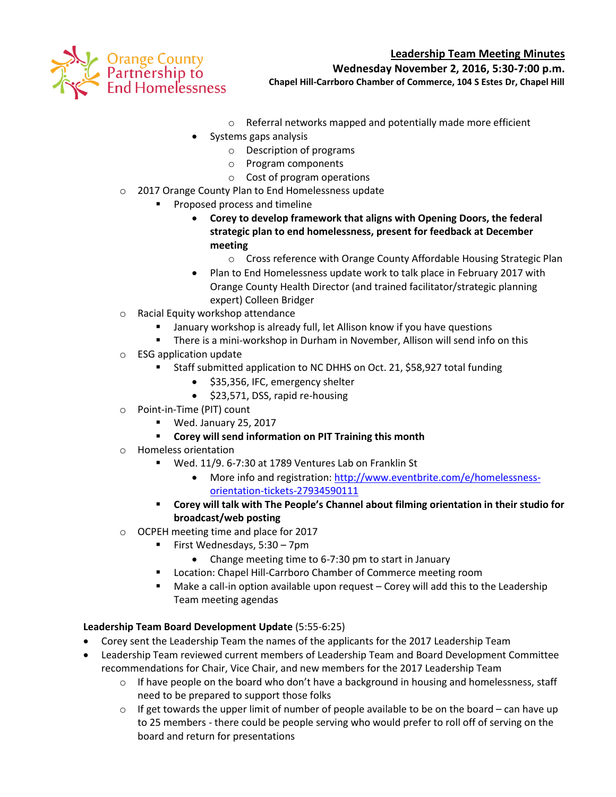



**Wednesday November 2, 2016, 5:30-7:00 p.m.**

**Chapel Hill-Carrboro Chamber of Commerce, 104 S Estes Dr, Chapel Hill**

- o Referral networks mapped and potentially made more efficient
- Systems gaps analysis
	- o Description of programs
	- o Program components
	- o Cost of program operations
- o 2017 Orange County Plan to End Homelessness update
	- Proposed process and timeline
		- **Corey to develop framework that aligns with Opening Doors, the federal strategic plan to end homelessness, present for feedback at December meeting**
			- o Cross reference with Orange County Affordable Housing Strategic Plan
		- Plan to End Homelessness update work to talk place in February 2017 with Orange County Health Director (and trained facilitator/strategic planning expert) Colleen Bridger
- o Racial Equity workshop attendance
	- January workshop is already full, let Allison know if you have questions
	- There is a mini-workshop in Durham in November, Allison will send info on this
- o ESG application update
	- Staff submitted application to NC DHHS on Oct. 21, \$58,927 total funding
		- \$35,356, IFC, emergency shelter
		- $\bullet$  \$23,571, DSS, rapid re-housing
- o Point-in-Time (PIT) count
	- Wed. January 25, 2017
	- **Corey will send information on PIT Training this month**
- o Homeless orientation
	- Wed. 11/9. 6-7:30 at 1789 Ventures Lab on Franklin St
		- More info and registration: [http://www.eventbrite.com/e/homelessness](http://www.eventbrite.com/e/homelessness-orientation-tickets-27934590111?aff=utm_source%3Deb_email%26utm_medium%3Demail%26utm_campaign%3Dnew_event_email&utm_term=eventurl_text)[orientation-tickets-27934590111](http://www.eventbrite.com/e/homelessness-orientation-tickets-27934590111?aff=utm_source%3Deb_email%26utm_medium%3Demail%26utm_campaign%3Dnew_event_email&utm_term=eventurl_text)
	- **Corey will talk with The People's Channel about filming orientation in their studio for broadcast/web posting**
- o OCPEH meeting time and place for 2017
	- First Wednesdays, 5:30 7pm
		- Change meeting time to 6-7:30 pm to start in January
	- **E** Location: Chapel Hill-Carrboro Chamber of Commerce meeting room
	- Make a call-in option available upon request Corey will add this to the Leadership Team meeting agendas

## **Leadership Team Board Development Update** (5:55-6:25)

- Corey sent the Leadership Team the names of the applicants for the 2017 Leadership Team
- Leadership Team reviewed current members of Leadership Team and Board Development Committee recommendations for Chair, Vice Chair, and new members for the 2017 Leadership Team
	- $\circ$  If have people on the board who don't have a background in housing and homelessness, staff need to be prepared to support those folks
	- $\circ$  If get towards the upper limit of number of people available to be on the board can have up to 25 members - there could be people serving who would prefer to roll off of serving on the board and return for presentations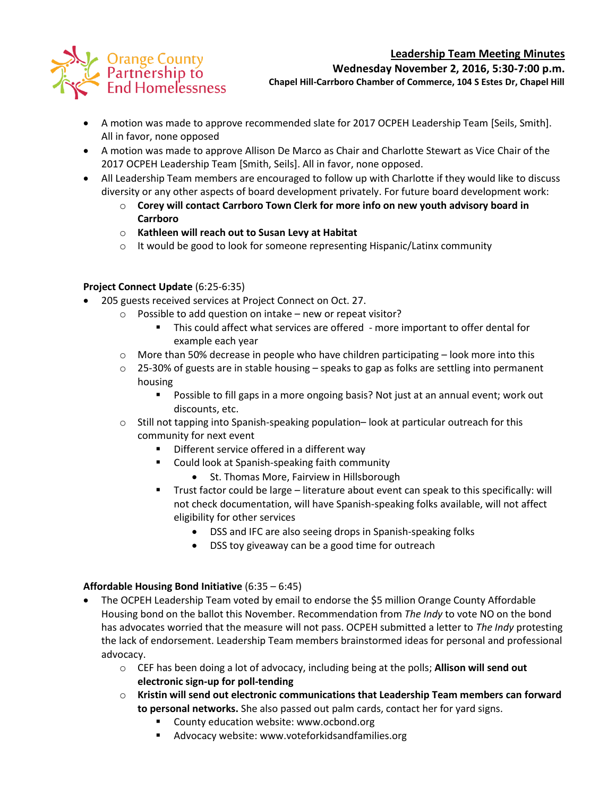# **Leadership Team Meeting Minutes**



**Wednesday November 2, 2016, 5:30-7:00 p.m.**

**Chapel Hill-Carrboro Chamber of Commerce, 104 S Estes Dr, Chapel Hill**

- A motion was made to approve recommended slate for 2017 OCPEH Leadership Team [Seils, Smith]. All in favor, none opposed
- A motion was made to approve Allison De Marco as Chair and Charlotte Stewart as Vice Chair of the 2017 OCPEH Leadership Team [Smith, Seils]. All in favor, none opposed.
- All Leadership Team members are encouraged to follow up with Charlotte if they would like to discuss diversity or any other aspects of board development privately. For future board development work:
	- o **Corey will contact Carrboro Town Clerk for more info on new youth advisory board in Carrboro**
	- o **Kathleen will reach out to Susan Levy at Habitat**
	- $\circ$  It would be good to look for someone representing Hispanic/Latinx community

# **Project Connect Update** (6:25-6:35)

- 205 guests received services at Project Connect on Oct. 27.
	- o Possible to add question on intake new or repeat visitor?
		- This could affect what services are offered more important to offer dental for example each year
	- $\circ$  More than 50% decrease in people who have children participating look more into this
	- o 25-30% of guests are in stable housing speaks to gap as folks are settling into permanent housing
		- Possible to fill gaps in a more ongoing basis? Not just at an annual event; work out discounts, etc.
	- $\circ$  Still not tapping into Spanish-speaking population– look at particular outreach for this community for next event
		- **Different service offered in a different way**
		- **EXECOULD LOOK AT SPANISH-SPEAKING FAITH COMMUNITY** 
			- St. Thomas More, Fairview in Hillsborough
		- Trust factor could be large literature about event can speak to this specifically: will not check documentation, will have Spanish-speaking folks available, will not affect eligibility for other services
			- DSS and IFC are also seeing drops in Spanish-speaking folks
			- DSS toy giveaway can be a good time for outreach

## **Affordable Housing Bond Initiative** (6:35 – 6:45)

- The OCPEH Leadership Team voted by email to endorse the \$5 million Orange County Affordable Housing bond on the ballot this November. Recommendation from *The Indy* to vote NO on the bond has advocates worried that the measure will not pass. OCPEH submitted a letter to *The Indy* protesting the lack of endorsement. Leadership Team members brainstormed ideas for personal and professional advocacy.
	- o CEF has been doing a lot of advocacy, including being at the polls; **Allison will send out electronic sign-up for poll-tending**
	- o **Kristin will send out electronic communications that Leadership Team members can forward to personal networks.** She also passed out palm cards, contact her for yard signs.
		- County education website: www.ocbond.org
		- **Advocacy website: www.voteforkidsandfamilies.org**